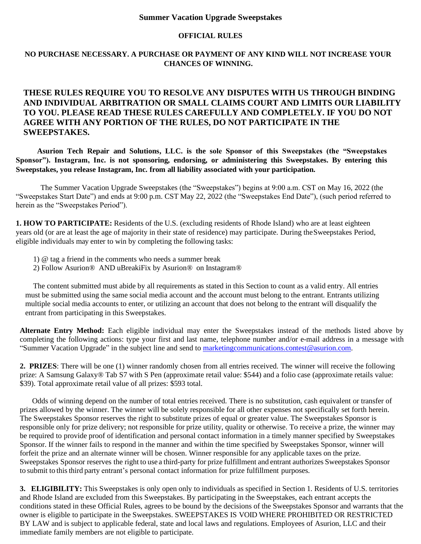## **Summer Vacation Upgrade Sweepstakes**

## **OFFICIAL RULES**

## **NO PURCHASE NECESSARY. A PURCHASE OR PAYMENT OF ANY KIND WILL NOT INCREASE YOUR CHANCES OF WINNING.**

## **THESE RULES REQUIRE YOU TO RESOLVE ANY DISPUTES WITH US THROUGH BINDING AND INDIVIDUAL ARBITRATION OR SMALL CLAIMS COURT AND LIMITS OUR LIABILITY TO YOU. PLEASE READ THESE RULES CAREFULLY AND COMPLETELY. IF YOU DO NOT AGREE WITH ANY PORTION OF THE RULES, DO NOT PARTICIPATE IN THE SWEEPSTAKES.**

**Asurion Tech Repair and Solutions, LLC. is the sole Sponsor of this Sweepstakes (the "Sweepstakes Sponsor"). Instagram, Inc. is not sponsoring, endorsing, or administering this Sweepstakes. By entering this Sweepstakes, you release Instagram, Inc. from all liability associated with your participation.**

The Summer Vacation Upgrade Sweepstakes (the "Sweepstakes") begins at 9:00 a.m. CST on May 16, 2022 (the "Sweepstakes Start Date") and ends at 9:00 p.m. CST May 22, 2022 (the "Sweepstakes End Date"), (such period referred to herein as the "Sweepstakes Period").

**1. HOW TO PARTICIPATE:** Residents of the U.S. (excluding residents of Rhode Island) who are at least eighteen years old (or are at least the age of majority in their state of residence) may participate. During theSweepstakes Period, eligible individuals may enter to win by completing the following tasks:

- 1) @ tag a friend in the comments who needs a summer break
- 2) Follow Asurion® AND uBreakiFix by Asurion® on Instagram®

The content submitted must abide by all requirements as stated in this Section to count as a valid entry. All entries must be submitted using the same social media account and the account must belong to the entrant. Entrants utilizing multiple social media accounts to enter, or utilizing an account that does not belong to the entrant will disqualify the entrant from participating in this Sweepstakes.

**Alternate Entry Method:** Each eligible individual may enter the Sweepstakes instead of the methods listed above by completing the following actions: type your first and last name, telephone number and/or e-mail address in a message with "Summer Vacation Upgrade" in the subject line and send to [marketingcommunications.contest@asurion.com.](mailto:marketingcommunications.contest@asurion.com)

**2. PRIZES**: There will be one (1) winner randomly chosen from all entries received. The winner will receive the following prize: A Samsung Galaxy® Tab S7 with S Pen (approximate retail value: \$544) and a folio case (approximate retails value: \$39). Total approximate retail value of all prizes: \$593 total.

Odds of winning depend on the number of total entries received. There is no substitution, cash equivalent or transfer of prizes allowed by the winner. The winner will be solely responsible for all other expenses not specifically set forth herein. The Sweepstakes Sponsor reserves the right to substitute prizes of equal or greater value. The Sweepstakes Sponsor is responsible only for prize delivery; not responsible for prize utility, quality or otherwise. To receive a prize, the winner may be required to provide proof of identification and personal contact information in a timely manner specified by Sweepstakes Sponsor. If the winner fails to respond in the manner and within the time specified by Sweepstakes Sponsor, winner will forfeit the prize and an alternate winner will be chosen. Winner responsible for any applicable taxes on the prize. Sweepstakes Sponsor reserves the right to use a third-party for prize fulfillment and entrant authorizes Sweepstakes Sponsor to submit to this third party entrant's personal contact information for prize fulfillment purposes.

**3. ELIGIBILITY:** This Sweepstakes is only open only to individuals as specified in Section 1. Residents of U.S. territories and Rhode Island are excluded from this Sweepstakes. By participating in the Sweepstakes, each entrant accepts the conditions stated in these Official Rules, agrees to be bound by the decisions of the Sweepstakes Sponsor and warrants that the owner is eligible to participate in the Sweepstakes. SWEEPSTAKES IS VOID WHERE PROHIBITED OR RESTRICTED BY LAW and is subject to applicable federal, state and local laws and regulations. Employees of Asurion, LLC and their immediate family members are not eligible to participate.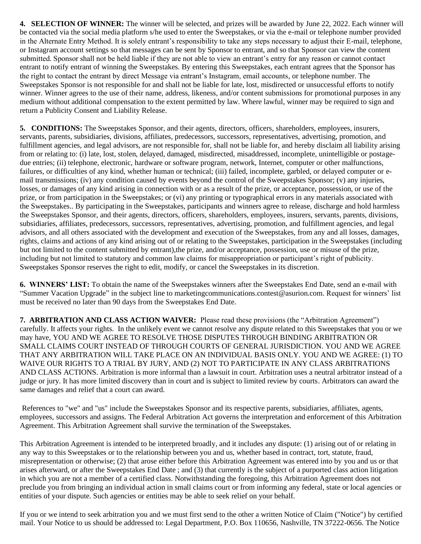**4. SELECTION OF WINNER:** The winner will be selected, and prizes will be awarded by June 22, 2022. Each winner will be contacted via the social media platform s/he used to enter the Sweepstakes, or via the e-mail or telephone number provided in the Alternate Entry Method. It is solely entrant's responsibility to take any steps necessary to adjust their E-mail, telephone, or Instagram account settings so that messages can be sent by Sponsor to entrant, and so that Sponsor can view the content submitted. Sponsor shall not be held liable if they are not able to view an entrant's entry for any reason or cannot contact entrant to notify entrant of winning the Sweepstakes. By entering this Sweepstakes, each entrant agrees that the Sponsor has the right to contact the entrant by direct Message via entrant's Instagram, email accounts, or telephone number. The Sweepstakes Sponsor is not responsible for and shall not be liable for late, lost, misdirected or unsuccessful efforts to notify winner. Winner agrees to the use of their name, address, likeness, and/or content submissions for promotional purposes in any medium without additional compensation to the extent permitted by law. Where lawful, winner may be required to sign and return a Publicity Consent and Liability Release.

**5. CONDITIONS:** The Sweepstakes Sponsor, and their agents, directors, officers, shareholders, employees, insurers, servants, parents, subsidiaries, divisions, affiliates, predecessors, successors, representatives, advertising, promotion, and fulfillment agencies, and legal advisors, are not responsible for, shall not be liable for, and hereby disclaim all liability arising from or relating to: (i) late, lost, stolen, delayed, damaged, misdirected, misaddressed, incomplete, unintelligible or postagedue entries; (ii) telephone, electronic, hardware or software program, network, Internet, computer or other malfunctions, failures, or difficulties of any kind, whether human or technical; (iii) failed, incomplete, garbled, or delayed computer or email transmissions; (iv) any condition caused by events beyond the control of the Sweepstakes Sponsor; (v) any injuries, losses, or damages of any kind arising in connection with or as a result of the prize, or acceptance, possession, or use of the prize, or from participation in the Sweepstakes; or (vi) any printing or typographical errors in any materials associated with the Sweepstakes.. By participating in the Sweepstakes, participants and winners agree to release, discharge and hold harmless the Sweepstakes Sponsor, and their agents, directors, officers, shareholders, employees, insurers, servants, parents, divisions, subsidiaries, affiliates, predecessors, successors, representatives, advertising, promotion, and fulfillment agencies, and legal advisors, and all others associated with the development and execution of the Sweepstakes, from any and all losses, damages, rights, claims and actions of any kind arising out of or relating to the Sweepstakes, participation in the Sweepstakes (including but not limited to the content submitted by entrant),the prize, and/or acceptance, possession, use or misuse of the prize, including but not limited to statutory and common law claims for misappropriation or participant's right of publicity. Sweepstakes Sponsor reserves the right to edit, modify, or cancel the Sweepstakes in its discretion.

**6. WINNERS' LIST:** To obtain the name of the Sweepstakes winners after the Sweepstakes End Date, send an e-mail with "Summer Vacation Upgrade" in the subject line to marketingcommunications.contes[t@asurion.com.](mailto:communicationteam@asurion.com) Request for winners' list must be received no later than 90 days from the Sweepstakes End Date.

**7. ARBITRATION AND CLASS ACTION WAIVER:** Please read these provisions (the "Arbitration Agreement") carefully. It affects your rights. In the unlikely event we cannot resolve any dispute related to this Sweepstakes that you or we may have, YOU AND WE AGREE TO RESOLVE THOSE DISPUTES THROUGH BINDING ARBITRATION OR SMALL CLAIMS COURT INSTEAD OF THROUGH COURTS OF GENERAL JURISDICTION. YOU AND WE AGREE THAT ANY ARBITRATION WILL TAKE PLACE ON AN INDIVIDUAL BASIS ONLY. YOU AND WE AGREE: (1) TO WAIVE OUR RIGHTS TO A TRIAL BY JURY, AND (2) NOT TO PARTICIPATE IN ANY CLASS ARBITRATIONS AND CLASS ACTIONS. Arbitration is more informal than a lawsuit in court. Arbitration uses a neutral arbitrator instead of a judge or jury. It has more limited discovery than in court and is subject to limited review by courts. Arbitrators can award the same damages and relief that a court can award.

References to "we" and "us" include the Sweepstakes Sponsor and its respective parents, subsidiaries, affiliates, agents, employees, successors and assigns. The Federal Arbitration Act governs the interpretation and enforcement of this Arbitration Agreement. This Arbitration Agreement shall survive the termination of the Sweepstakes.

This Arbitration Agreement is intended to be interpreted broadly, and it includes any dispute: (1) arising out of or relating in any way to this Sweepstakes or to the relationship between you and us, whether based in contract, tort, statute, fraud, misrepresentation or otherwise; (2) that arose either before this Arbitration Agreement was entered into by you and us or that arises afterward, or after the Sweepstakes End Date ; and (3) that currently is the subject of a purported class action litigation in which you are not a member of a certified class. Notwithstanding the foregoing, this Arbitration Agreement does not preclude you from bringing an individual action in small claims court or from informing any federal, state or local agencies or entities of your dispute. Such agencies or entities may be able to seek relief on your behalf.

If you or we intend to seek arbitration you and we must first send to the other a written Notice of Claim ("Notice") by certified mail. Your Notice to us should be addressed to: Legal Department, P.O. Box 110656, Nashville, TN 37222-0656. The Notice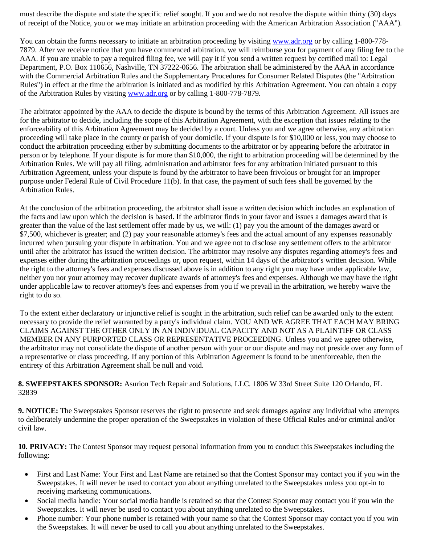must describe the dispute and state the specific relief sought. If you and we do not resolve the dispute within thirty (30) days of receipt of the Notice, you or we may initiate an arbitration proceeding with the American Arbitration Association ("AAA").

You can obtain the forms necessary to initiate an arbitration proceeding by visiting [www.adr.org](https://www.adr.org/) or by calling 1-800-778- 7879. After we receive notice that you have commenced arbitration, we will reimburse you for payment of any filing fee to the AAA. If you are unable to pay a required filing fee, we will pay it if you send a written request by certified mail to: Legal Department, P.O. Box 110656, Nashville, TN 37222-0656. The arbitration shall be administered by the AAA in accordance with the Commercial Arbitration Rules and the Supplementary Procedures for Consumer Related Disputes (the "Arbitration Rules") in effect at the time the arbitration is initiated and as modified by this Arbitration Agreement. You can obtain a copy of the Arbitration Rules by visiting [www.adr.org](https://www.adr.org/) or by calling 1-800-778-7879.

The arbitrator appointed by the AAA to decide the dispute is bound by the terms of this Arbitration Agreement. All issues are for the arbitrator to decide, including the scope of this Arbitration Agreement, with the exception that issues relating to the enforceability of this Arbitration Agreement may be decided by a court. Unless you and we agree otherwise, any arbitration proceeding will take place in the county or parish of your domicile. If your dispute is for \$10,000 or less, you may choose to conduct the arbitration proceeding either by submitting documents to the arbitrator or by appearing before the arbitrator in person or by telephone. If your dispute is for more than \$10,000, the right to arbitration proceeding will be determined by the Arbitration Rules. We will pay all filing, administration and arbitrator fees for any arbitration initiated pursuant to this Arbitration Agreement, unless your dispute is found by the arbitrator to have been frivolous or brought for an improper purpose under Federal Rule of Civil Procedure 11(b). In that case, the payment of such fees shall be governed by the Arbitration Rules.

At the conclusion of the arbitration proceeding, the arbitrator shall issue a written decision which includes an explanation of the facts and law upon which the decision is based. If the arbitrator finds in your favor and issues a damages award that is greater than the value of the last settlement offer made by us, we will: (1) pay you the amount of the damages award or \$7,500, whichever is greater; and (2) pay your reasonable attorney's fees and the actual amount of any expenses reasonably incurred when pursuing your dispute in arbitration. You and we agree not to disclose any settlement offers to the arbitrator until after the arbitrator has issued the written decision. The arbitrator may resolve any disputes regarding attorney's fees and expenses either during the arbitration proceedings or, upon request, within 14 days of the arbitrator's written decision. While the right to the attorney's fees and expenses discussed above is in addition to any right you may have under applicable law, neither you nor your attorney may recover duplicate awards of attorney's fees and expenses. Although we may have the right under applicable law to recover attorney's fees and expenses from you if we prevail in the arbitration, we hereby waive the right to do so.

To the extent either declaratory or injunctive relief is sought in the arbitration, such relief can be awarded only to the extent necessary to provide the relief warranted by a party's individual claim. YOU AND WE AGREE THAT EACH MAY BRING CLAIMS AGAINST THE OTHER ONLY IN AN INDIVIDUAL CAPACITY AND NOT AS A PLAINTIFF OR CLASS MEMBER IN ANY PURPORTED CLASS OR REPRESENTATIVE PROCEEDING. Unless you and we agree otherwise, the arbitrator may not consolidate the dispute of another person with your or our dispute and may not preside over any form of a representative or class proceeding. If any portion of this Arbitration Agreement is found to be unenforceable, then the entirety of this Arbitration Agreement shall be null and void.

**8. SWEEPSTAKES SPONSOR:** Asurion Tech Repair and Solutions, LLC. 1806 W 33rd Street Suite 120 Orlando, FL 32839

**9. NOTICE:** The Sweepstakes Sponsor reserves the right to prosecute and seek damages against any individual who attempts to deliberately undermine the proper operation of the Sweepstakes in violation of these Official Rules and/or criminal and/or civil law.

**10. PRIVACY:** The Contest Sponsor may request personal information from you to conduct this Sweepstakes including the following:

- First and Last Name: Your First and Last Name are retained so that the Contest Sponsor may contact you if you win the Sweepstakes. It will never be used to contact you about anything unrelated to the Sweepstakes unless you opt-in to receiving marketing communications.
- Social media handle: Your social media handle is retained so that the Contest Sponsor may contact you if you win the Sweepstakes. It will never be used to contact you about anything unrelated to the Sweepstakes.
- Phone number: Your phone number is retained with your name so that the Contest Sponsor may contact you if you win the Sweepstakes. It will never be used to call you about anything unrelated to the Sweepstakes.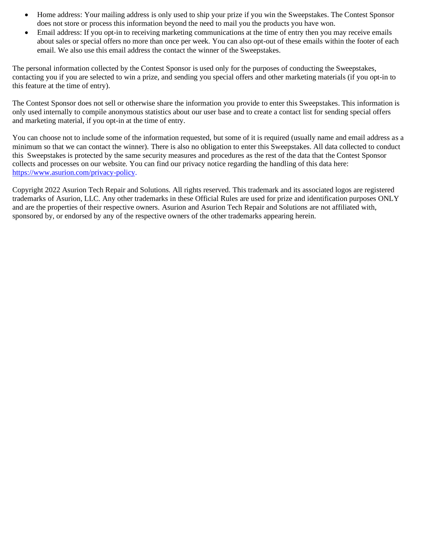- Home address: Your mailing address is only used to ship your prize if you win the Sweepstakes. The Contest Sponsor does not store or process this information beyond the need to mail you the products you have won.
- Email address: If you opt-in to receiving marketing communications at the time of entry then you may receive emails about sales or special offers no more than once per week. You can also opt-out of these emails within the footer of each email. We also use this email address the contact the winner of the Sweepstakes.

The personal information collected by the Contest Sponsor is used only for the purposes of conducting the Sweepstakes, contacting you if you are selected to win a prize, and sending you special offers and other marketing materials (if you opt-in to this feature at the time of entry).

The Contest Sponsor does not sell or otherwise share the information you provide to enter this Sweepstakes. This information is only used internally to compile anonymous statistics about our user base and to create a contact list for sending special offers and marketing material, if you opt-in at the time of entry.

You can choose not to include some of the information requested, but some of it is required (usually name and email address as a minimum so that we can contact the winner). There is also no obligation to enter this Sweepstakes. All data collected to conduct this Sweepstakes is protected by the same security measures and procedures as the rest of the data that the Contest Sponsor collects and processes on our website. You can find our privacy notice regarding the handling of this data here: [https://www.asurion.com/privacy-policy.](https://www.asurion.com/privacy-policy)

Copyright 2022 Asurion Tech Repair and Solutions. All rights reserved. This trademark and its associated logos are registered trademarks of Asurion, LLC. Any other trademarks in these Official Rules are used for prize and identification purposes ONLY and are the properties of their respective owners. Asurion and Asurion Tech Repair and Solutions are not affiliated with, sponsored by, or endorsed by any of the respective owners of the other trademarks appearing herein.